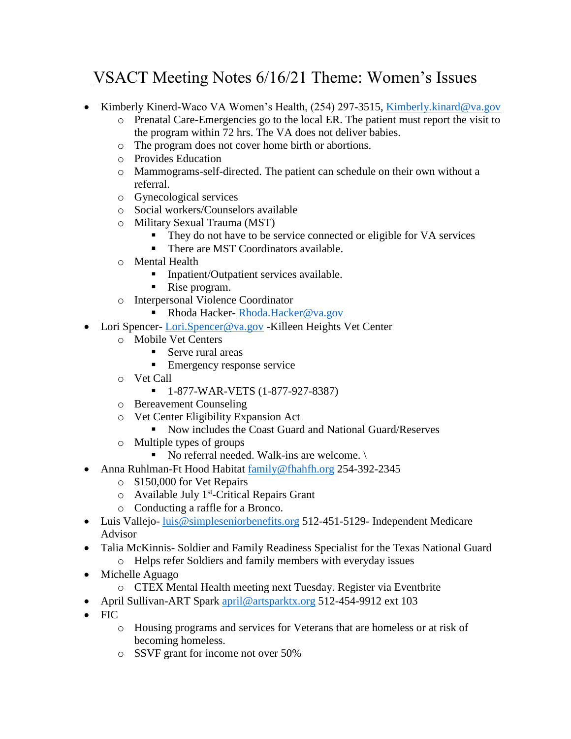## VSACT Meeting Notes 6/16/21 Theme: Women's Issues

- Kimberly Kinerd-Waco VA Women's Health, (254) 297-3515, [Kimberly.kinard@va.gov](mailto:Kimberly.kinard@va.gov)
	- o Prenatal Care-Emergencies go to the local ER. The patient must report the visit to the program within 72 hrs. The VA does not deliver babies.
	- o The program does not cover home birth or abortions.
	- o Provides Education
	- o Mammograms-self-directed. The patient can schedule on their own without a referral.
	- o Gynecological services
	- o Social workers/Counselors available
	- o Military Sexual Trauma (MST)
		- They do not have to be service connected or eligible for VA services
		- There are MST Coordinators available.
	- o Mental Health
		- **•** Inpatient/Outpatient services available.
		- Rise program.
	- o Interpersonal Violence Coordinator
		- Rhoda Hacker- [Rhoda.Hacker@va.gov](mailto:Rhoda.Hacker@va.gov)
- Lori Spencer- [Lori.Spencer@va.gov](mailto:Lori.Spencer@va.gov) -Killeen Heights Vet Center
	- o Mobile Vet Centers
		- Serve rural areas
		- **Emergency response service**
	- o Vet Call
		- 1-877-WAR-VETS (1-877-927-8387)
	- o Bereavement Counseling
	- o Vet Center Eligibility Expansion Act
		- Now includes the Coast Guard and National Guard/Reserves
	- o Multiple types of groups
		- $\blacksquare$  No referral needed. Walk-ins are welcome.
- Anna Ruhlman-Ft Hood Habitat [family@fhahfh.org](mailto:family@fhahfh.org) 254-392-2345
	- o \$150,000 for Vet Repairs
	- o Available July 1<sup>st</sup>-Critical Repairs Grant
	- o Conducting a raffle for a Bronco.
- Luis Vallejo- luis @simpleseniorbenefits.org 512-451-5129- Independent Medicare Advisor
- Talia McKinnis- Soldier and Family Readiness Specialist for the Texas National Guard
	- o Helps refer Soldiers and family members with everyday issues
- Michelle Aguago
	- o CTEX Mental Health meeting next Tuesday. Register via Eventbrite
- April Sullivan-ART Spark [april@artsparktx.org](mailto:april@artsparktx.org) 512-454-9912 ext 103
- FIC
	- o Housing programs and services for Veterans that are homeless or at risk of becoming homeless.
	- o SSVF grant for income not over 50%